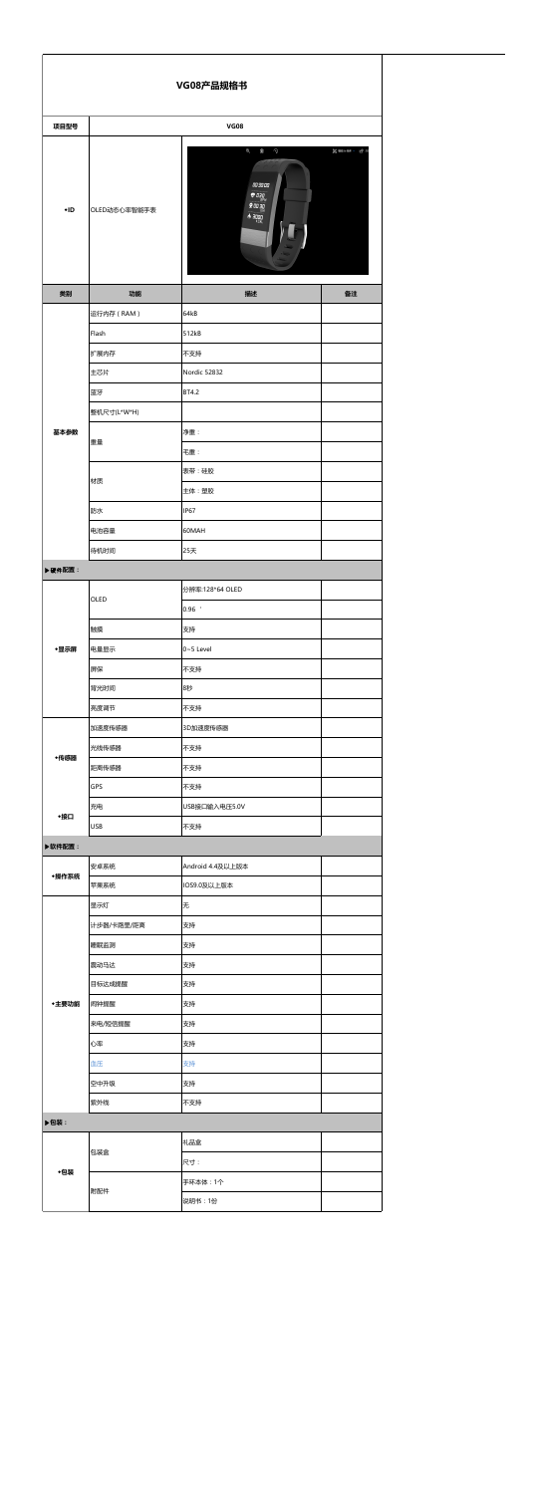| VG08产品规格书 |              |                                                                                                                                                               |  |  |
|-----------|--------------|---------------------------------------------------------------------------------------------------------------------------------------------------------------|--|--|
| 项目型号      |              | <b>VG08</b>                                                                                                                                                   |  |  |
| $+ID$     | OLED动态心率智能手表 | $\mathbin{\mathbb R}$<br>Ŵ<br>$\odot$<br><b>% 細则 &gt; 它共</b><br>םם:ספ:ש<br>$\bullet$ 030<br>פ מם 2 $\frac{g}{\frac{kM}{k}}$<br>$\bigwedge_{k\in\mathcal{A}L}$ |  |  |
| 类别        | 功能           | 备注<br>描述                                                                                                                                                      |  |  |
| 基本参数      | 运行内存 (RAM)   | 64kB                                                                                                                                                          |  |  |
|           | Flash        | 512kB                                                                                                                                                         |  |  |
|           | 扩展内存         | 不支持                                                                                                                                                           |  |  |
|           | 主芯片          | Nordic 52832                                                                                                                                                  |  |  |
|           | 蓝牙           | BT4.2                                                                                                                                                         |  |  |
|           | 整机尺寸(L*W*H)  |                                                                                                                                                               |  |  |
|           |              | 净重:                                                                                                                                                           |  |  |
|           | 重量           | 毛重:                                                                                                                                                           |  |  |
|           |              | 表带:硅胶                                                                                                                                                         |  |  |
|           | 材质           | 主体:塑胶                                                                                                                                                         |  |  |
|           | 防水           | <b>IP67</b>                                                                                                                                                   |  |  |
|           | 电池容量         | 60MAH                                                                                                                                                         |  |  |
|           |              |                                                                                                                                                               |  |  |
|           | 待机时间         | 25天                                                                                                                                                           |  |  |
| ▶硬件配置:    |              |                                                                                                                                                               |  |  |
|           | OLED         | 分辨率:128*64 OLED                                                                                                                                               |  |  |
| ◆显示屏      |              | $0.96$ $'$                                                                                                                                                    |  |  |
|           | 触摸           | 支持                                                                                                                                                            |  |  |
|           | 电量显示         | $0 - 5$ Level                                                                                                                                                 |  |  |
|           | 屏保           | 不支持                                                                                                                                                           |  |  |
|           | 背光时间         | 8秒                                                                                                                                                            |  |  |
|           | 亮度调节         | 不支持                                                                                                                                                           |  |  |
|           | 加速度传感器       | 3D加速度传感器                                                                                                                                                      |  |  |
| ◆传感器      | 光线传感器        | 不支持                                                                                                                                                           |  |  |
|           | 距离传感器        | 不支持                                                                                                                                                           |  |  |
|           | GPS          | 不支持                                                                                                                                                           |  |  |
| ◆接口       | 充电           | USB接口输入电压5.0V                                                                                                                                                 |  |  |
|           | <b>USB</b>   | 不支持                                                                                                                                                           |  |  |
| ▶ 软件配置:   |              |                                                                                                                                                               |  |  |
| ◆操作系统     | 安卓系统         | Android 4.4及以上版本                                                                                                                                              |  |  |
|           | 苹果系统         | IOS9.0及以上版本                                                                                                                                                   |  |  |
| ◆主要功能     | 显示灯          | 无                                                                                                                                                             |  |  |
|           | 计步器/卡路里/距离   | 支持                                                                                                                                                            |  |  |
|           | 睡眠监测         | 支持                                                                                                                                                            |  |  |
|           | 震动马达         | 支持                                                                                                                                                            |  |  |
|           | 目标达成提醒       | 支持                                                                                                                                                            |  |  |
|           | 闹钟提醒         | 支持                                                                                                                                                            |  |  |
|           | 来电/短信提醒      | 支持                                                                                                                                                            |  |  |
|           | 心率           | 支持                                                                                                                                                            |  |  |
|           | 血压           | 支持                                                                                                                                                            |  |  |
|           | 空中升级         | 支持                                                                                                                                                            |  |  |
|           | 紫外线          | 不支持                                                                                                                                                           |  |  |
|           |              |                                                                                                                                                               |  |  |
| ▶包装:      |              |                                                                                                                                                               |  |  |
| ◆包装       | 包装盒          | 礼品盒                                                                                                                                                           |  |  |
|           |              | 尺寸:                                                                                                                                                           |  |  |
|           | 附配件          | 手环本体: 1个                                                                                                                                                      |  |  |
|           |              | 说明书:1份                                                                                                                                                        |  |  |